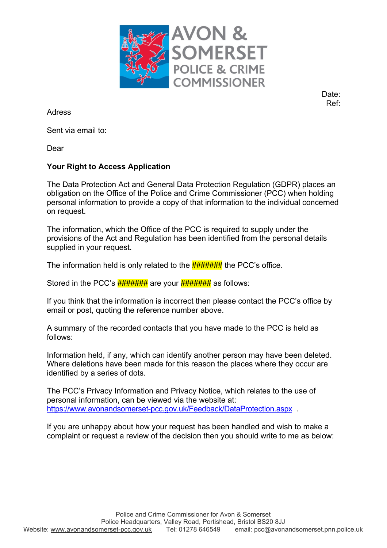

Date: Ref:

Adress

Sent via email to:

Dear

## **Your Right to Access Application**

The Data Protection Act and General Data Protection Regulation (GDPR) places an obligation on the Office of the Police and Crime Commissioner (PCC) when holding personal information to provide a copy of that information to the individual concerned on request.

The information, which the Office of the PCC is required to supply under the provisions of the Act and Regulation has been identified from the personal details supplied in your request.

The information held is only related to the  $\frac{H}{H}$  the PCC's office.

Stored in the PCC's  $\frac{H H H H H H H}{H}$  are your  $\frac{H H H H H H H}{H}$  as follows:

If you think that the information is incorrect then please contact the PCC's office by email or post, quoting the reference number above.

A summary of the recorded contacts that you have made to the PCC is held as follows:

Information held, if any, which can identify another person may have been deleted. Where deletions have been made for this reason the places where they occur are identified by a series of dots.

The PCC's Privacy Information and Privacy Notice, which relates to the use of personal information, can be viewed via the website at: https://www.avonandsomerset-pcc.gov.uk/Feedback/DataProtection.aspx .

If you are unhappy about how your request has been handled and wish to make a complaint or request a review of the decision then you should write to me as below: